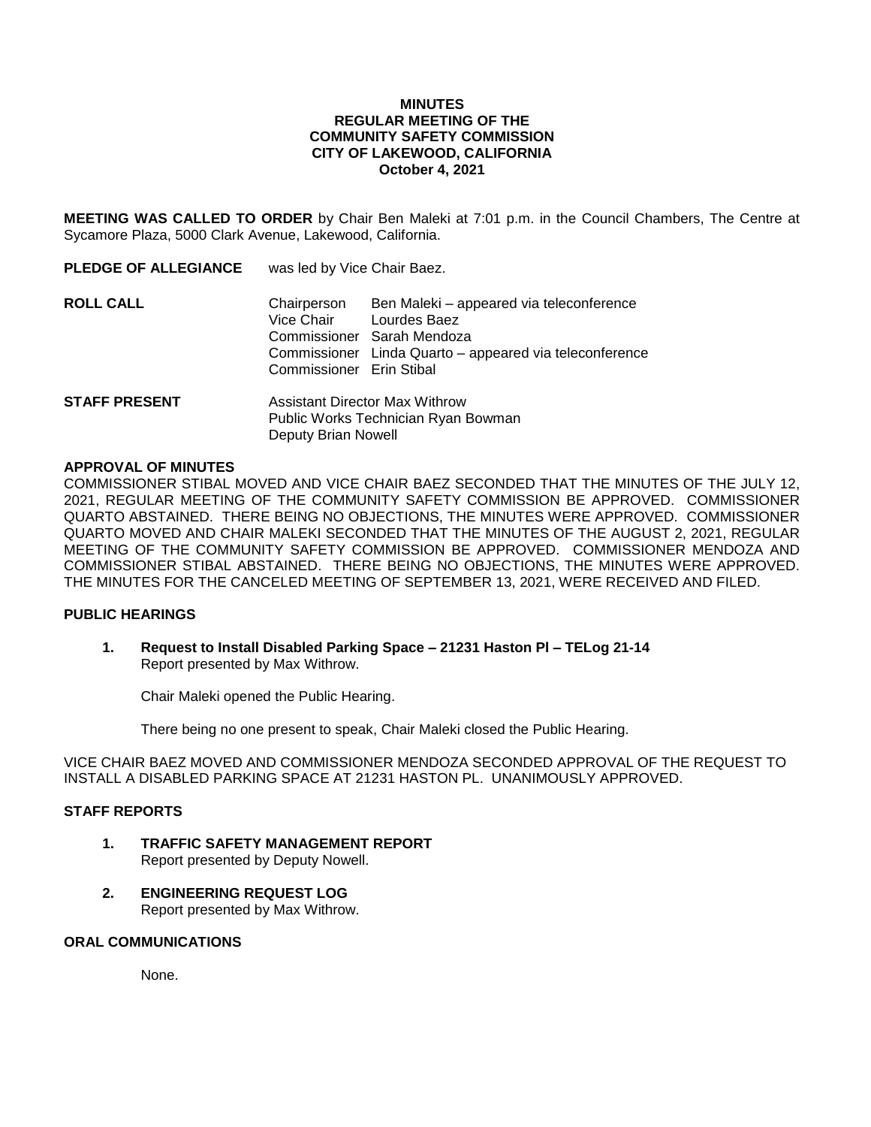### **MINUTES REGULAR MEETING OF THE COMMUNITY SAFETY COMMISSION CITY OF LAKEWOOD, CALIFORNIA October 4, 2021**

**MEETING WAS CALLED TO ORDER** by Chair Ben Maleki at 7:01 p.m. in the Council Chambers, The Centre at Sycamore Plaza, 5000 Clark Avenue, Lakewood, California.

| <b>PLEDGE OF ALLEGIANCE</b> | was led by Vice Chair Baez.                                           |                                                                                                                                                   |
|-----------------------------|-----------------------------------------------------------------------|---------------------------------------------------------------------------------------------------------------------------------------------------|
| <b>ROLL CALL</b>            | Chairperson<br>Vice Chair<br>Commissioner Erin Stibal                 | Ben Maleki - appeared via teleconference<br>Lourdes Baez<br>Commissioner Sarah Mendoza<br>Commissioner Linda Quarto - appeared via teleconference |
| <b>STAFF PRESENT</b>        | Assistant Director Max Withrow<br>Public Works Technician Ryan Bowman |                                                                                                                                                   |

Deputy Brian Nowell

#### **APPROVAL OF MINUTES**

COMMISSIONER STIBAL MOVED AND VICE CHAIR BAEZ SECONDED THAT THE MINUTES OF THE JULY 12, 2021, REGULAR MEETING OF THE COMMUNITY SAFETY COMMISSION BE APPROVED. COMMISSIONER QUARTO ABSTAINED. THERE BEING NO OBJECTIONS, THE MINUTES WERE APPROVED. COMMISSIONER QUARTO MOVED AND CHAIR MALEKI SECONDED THAT THE MINUTES OF THE AUGUST 2, 2021, REGULAR MEETING OF THE COMMUNITY SAFETY COMMISSION BE APPROVED. COMMISSIONER MENDOZA AND COMMISSIONER STIBAL ABSTAINED. THERE BEING NO OBJECTIONS, THE MINUTES WERE APPROVED. THE MINUTES FOR THE CANCELED MEETING OF SEPTEMBER 13, 2021, WERE RECEIVED AND FILED.

## **PUBLIC HEARINGS**

**1. Request to Install Disabled Parking Space – 21231 Haston Pl – TELog 21-14** Report presented by Max Withrow.

Chair Maleki opened the Public Hearing.

There being no one present to speak, Chair Maleki closed the Public Hearing.

VICE CHAIR BAEZ MOVED AND COMMISSIONER MENDOZA SECONDED APPROVAL OF THE REQUEST TO INSTALL A DISABLED PARKING SPACE AT 21231 HASTON PL. UNANIMOUSLY APPROVED.

### **STAFF REPORTS**

- **1. TRAFFIC SAFETY MANAGEMENT REPORT**  Report presented by Deputy Nowell.
- **2. ENGINEERING REQUEST LOG** Report presented by Max Withrow.

#### **ORAL COMMUNICATIONS**

None.